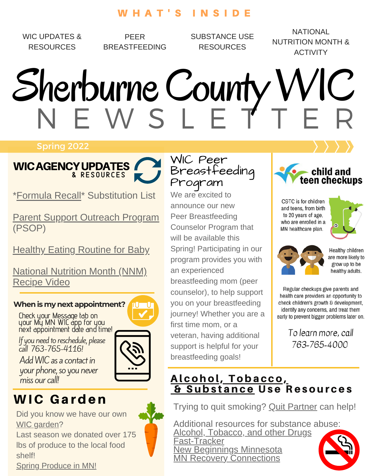### W H A T ' S I N S I D E

WIC UPDATES & **RESOURCES** 

PEER BREASTFEEDING SUBSTANCE USE RESOURCES

NATIONAL NUTRITION MONTH & ACTIVITY

# N E W S L E T T E R Sherburne County WIC

#### Spring 2022



[\\*Formula](https://www.health.state.mn.us/docs/people/wic/localagency/recall/substitutions.pdf) Recall\* Substitution List

Parent Support [Outreach](https://edocs.dhs.state.mn.us/lfserver/Public/DHS-4472A-ENG) Program (PSOP)

Healthy Eating [Routine](https://www.dietaryguidelines.gov/sites/default/files/2021-12/DGA_Babies_FactSheet-508c_0.pdf) for Baby

National [Nutrition](https://vimeo.com/681152136/99a534abec) Month (NNM) [Recipe](https://vimeo.com/681152136/99a534abec) Video

#### **When is my next appointment?** rU U

Check your Message tab on your My MN WIC app for you next appointment date and time!

If you need to reschedule, please call 763-765-4116!

Add WIC as a contact in your phone, so you never<br>miss our call!



## WIC Garden

Did you know we have our own WIC [garden?](https://www.co.sherburne.mn.us/1254/WIC-Garden)

Last season we donated over 175 lbs of produce to the local food shelf! Spring [Produce](https://www.co.sherburne.mn.us/DocumentCenter/View/7323/Eat-Seasonal-Spring) in MN!

WIC Peer [Breastfeeding](http://www.health.state.mn.us/divs/cfh/program/cyshn/follow.cfm) Program

We are excited to announce our new Peer Breastfeeding Counselor Program that will be available this Spring! Participating in our program provides you with an experienced breastfeeding mom (peer counselor), to help support you on your breastfeeding journey! Whether you are a first time mom, or a veteran, having additional support is helpful for your breastfeeding goals!



C&TC is for children and teens, from birth to 20 years of age, who are enrolled in a MN healthcare plan.





Healthy children are more likely to grow up to be healthy adults.

Regular checkups give parents and health care providers an opportunity to check children's growth & development, identify any concerns, and treat them early to prevent bigger problems later on.

> To learn more, call 763-765-4000

## Alcohol, T[oba](https://www.health.state.mn.us/docs/people/wic/nutrition/english/gendrugs.pdf)cco, [&](https://www.health.state.mn.us/docs/people/wic/nutrition/english/gendrugs.pdf) S[ubs](https://www.health.state.mn.us/docs/people/wic/nutrition/english/gendrugs.pdf)tance Use Resources

Trying to quit smoking? Quit [Partner](https://www.quitpartnermn.com/) can help!

Additional resources for substance abuse: Alcohol, [Tobacco,](https://www.health.state.mn.us/docs/people/wic/nutrition/english/gendrugs.pdf) and other Drugs F[ast-Tracker](https://sud.fasttrackermn.org/) New [Beginnings](https://nbminnesota.com/) Minnesota MN Recovery [Connections](https://minnesotarecovery.org/)

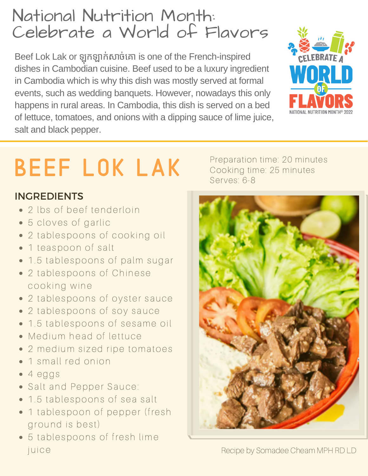## National Nutrition Month: [Celebrate](http://www.health.state.mn.us/divs/cfh/program/cyshn/follow.cfm) a World of Flavors

Beef Lok Lak or ឡុកឡុ ឡាក់សាច់គោ is one of the French-inspired dishes in Cambodian cuisine. Beef used to be a luxury ingredient in Cambodia which is why this dish was mostly served at formal events, such as wedding banquets. However, nowadays this only happens in rural areas. In Cambodia, this dish is served on a bed of lettuce, tomatoes, and onions with a dipping sauce of lime juice, salt and black pepper.



## beef lok lak

## INGREDIENTS

- 2 lbs of beef tenderloin
- 5 cloves of garlic
- 2 tablespoons of cooking oil
- 1 teaspoon of salt
- 1.5 tablespoons of palm sugar
- 2 tablespoons of Chinese cooking wine
- 2 tablespoons of oyster sauce
- 2 tablespoons of soy sauce
- 1.5 tablespoons of sesame oil
- Medium head of lettuce
- 2 medium sized ripe tomatoes
- 1 small red onion
- $-4$  eggs
- Salt and Pepper Sauce:
- 1.5 tablespoons of sea salt
- 1 tablespoon of pepper (fresh ground is best)
- 5 tablespoons of fresh lime juice

Preparation time: 20 minutes Cooking time: 25 minutes Serves: 6-8